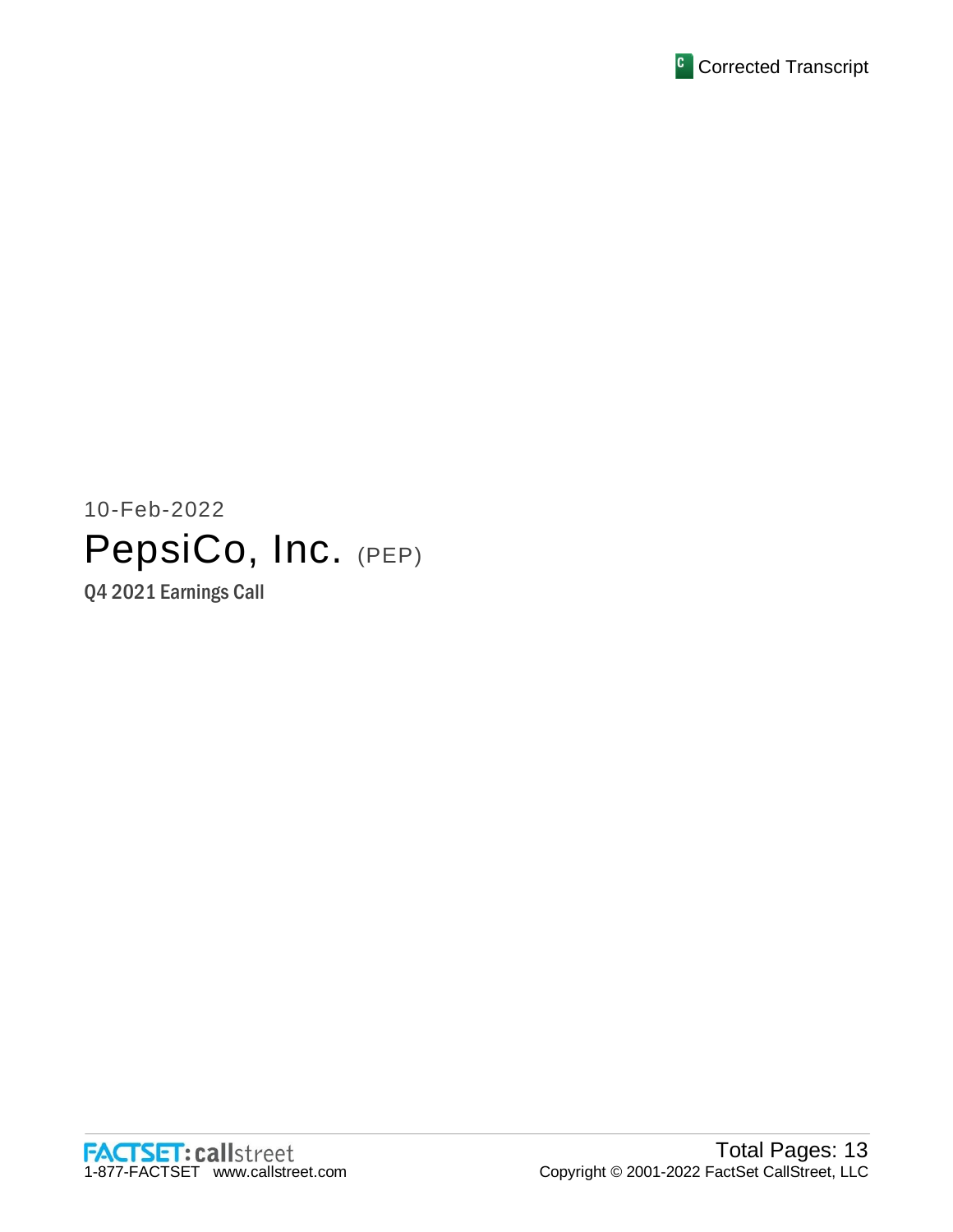

# 10-Feb-2022 PepsiCo, Inc. (PEP)

Q4 2021 Earnings Call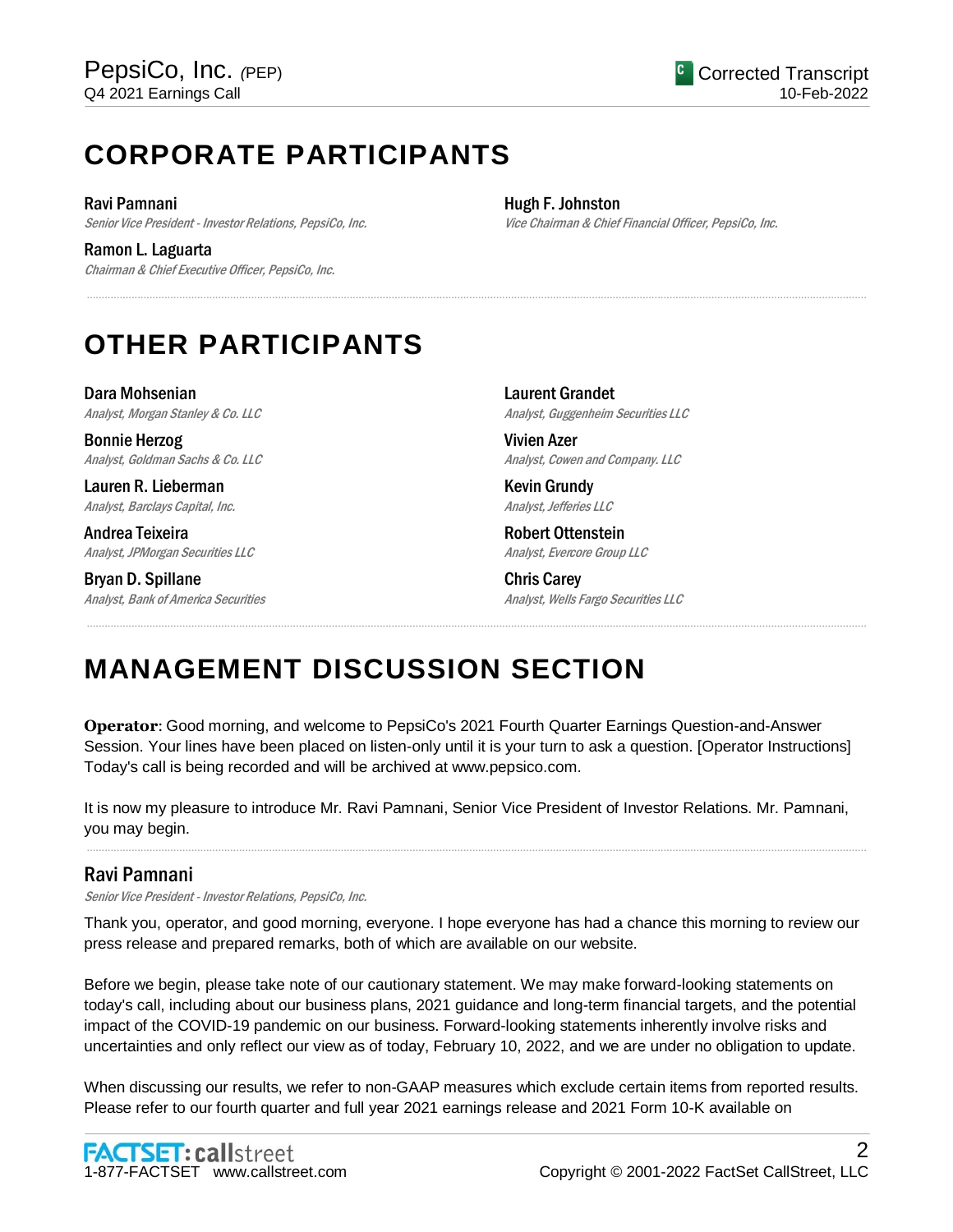## **CORPORATE PARTICIPANTS**

Ravi Pamnani Senior Vice President - Investor Relations, PepsiCo, Inc.

Ramon L. Laguarta Chairman & Chief Executive Officer, PepsiCo, Inc. Hugh F. Johnston Vice Chairman & Chief Financial Officer, PepsiCo, Inc.

### **OTHER PARTICIPANTS**

Dara Mohsenian Analyst, Morgan Stanley & Co. LLC

Bonnie Herzog Analyst, Goldman Sachs & Co. LLC

Lauren R. Lieberman Analyst, Barclays Capital, Inc.

Andrea Teixeira Analyst, JPMorgan Securities LLC

Bryan D. Spillane Analyst, Bank of America Securities Laurent Grandet Analyst, Guggenheim Securities LLC

Vivien Azer Analyst, Cowen and Company. LLC

Kevin Grundy Analyst, Jefferies LLC

Robert Ottenstein Analyst, Evercore Group LLC

Chris Carey Analyst, Wells Fargo Securities LLC

## **MANAGEMENT DISCUSSION SECTION**

**Operator**: Good morning, and welcome to PepsiCo's 2021 Fourth Quarter Earnings Question-and-Answer Session. Your lines have been placed on listen-only until it is your turn to ask a question. [Operator Instructions] Today's call is being recorded and will be archived at www.pepsico.com.

.....................................................................................................................................................................................................................................................................

.....................................................................................................................................................................................................................................................................

It is now my pleasure to introduce Mr. Ravi Pamnani, Senior Vice President of Investor Relations. Mr. Pamnani, you may begin.

.....................................................................................................................................................................................................................................................................

#### Ravi Pamnani

Senior Vice President - Investor Relations, PepsiCo, Inc.

Thank you, operator, and good morning, everyone. I hope everyone has had a chance this morning to review our press release and prepared remarks, both of which are available on our website.

Before we begin, please take note of our cautionary statement. We may make forward-looking statements on today's call, including about our business plans, 2021 guidance and long-term financial targets, and the potential impact of the COVID-19 pandemic on our business. Forward-looking statements inherently involve risks and uncertainties and only reflect our view as of today, February 10, 2022, and we are under no obligation to update.

When discussing our results, we refer to non-GAAP measures which exclude certain items from reported results. Please refer to our fourth quarter and full year 2021 earnings release and 2021 Form 10-K available on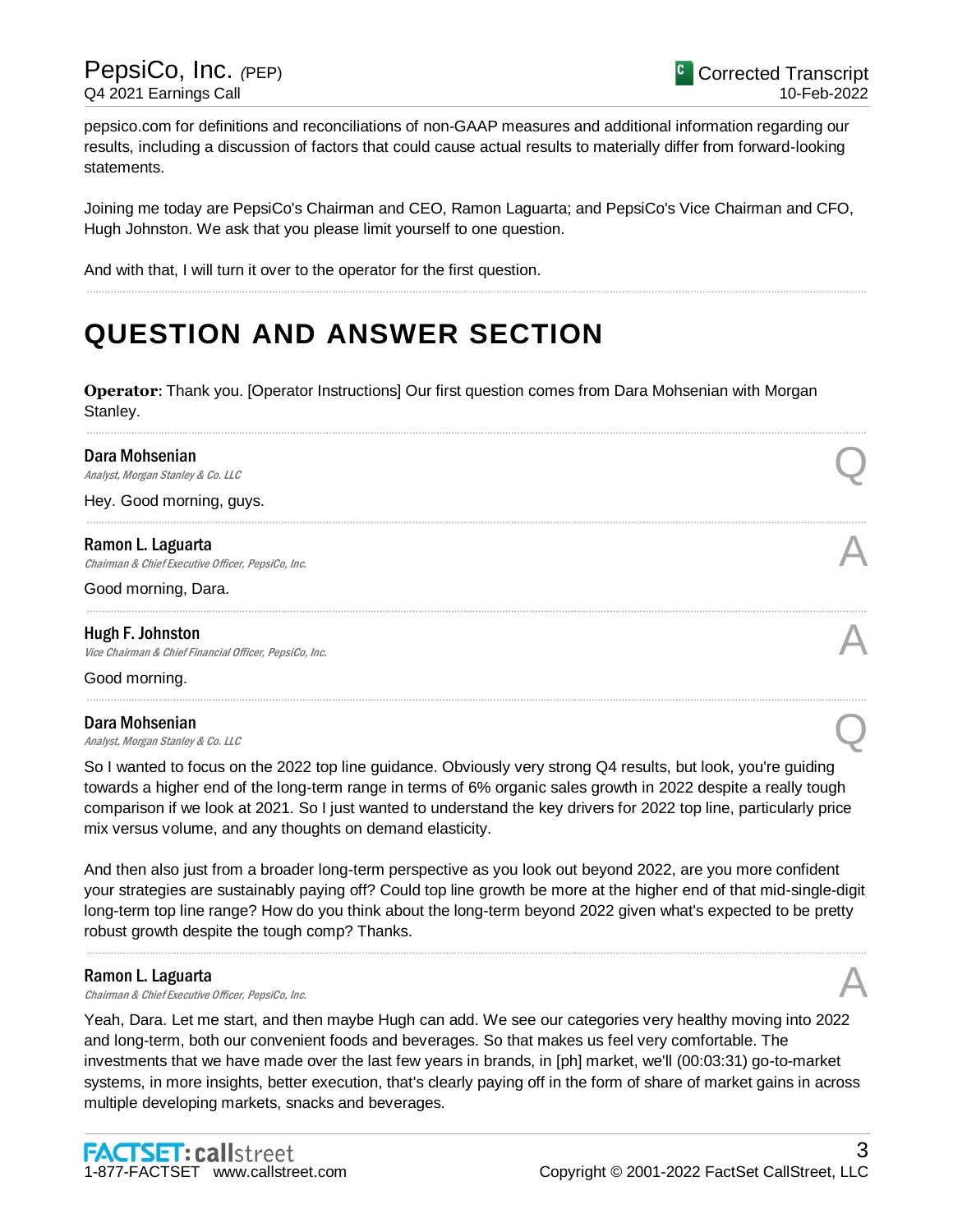pepsico.com for definitions and reconciliations of non-GAAP measures and additional information regarding our results, including a discussion of factors that could cause actual results to materially differ from forward-looking statements.

Joining me today are PepsiCo's Chairman and CEO, Ramon Laguarta; and PepsiCo's Vice Chairman and CFO, Hugh Johnston. We ask that you please limit yourself to one question.

.....................................................................................................................................................................................................................................................................

.....................................................................................................................................................................................................................................................................

.....................................................................................................................................................................................................................................................................

.....................................................................................................................................................................................................................................................................

.....................................................................................................................................................................................................................................................................

And with that, I will turn it over to the operator for the first question.

### **QUESTION AND ANSWER SECTION**

**Operator**: Thank you. [Operator Instructions] Our first question comes from Dara Mohsenian with Morgan Stanley.

#### Dara Mohsenian

**Dara Mohsenian**<br>Analyst, Morgan Stanley & Co. LLC Quarter of Analyst, Morgan Stanley & Co. LLC

Hey. Good morning, guys.

Ramon L. Laguarta **Ramon L. Laguarta**<br>Chairman & Chief Executive Officer, PepsiCo, Inc.  $\mathcal{A}$ 

Good morning, Dara.

Hugh F. Johnston **Hugh F. Johnston**<br>Vice Chairman & Chief Financial Officer, PepsiCo, Inc.  $\mathcal{A}$ 

Good morning.

#### Dara Mohsenian

**Dara Mohsenian**<br>Analyst, Morgan Stanley & Co. LLC Quarter of Analyst, Morgan Stanley & Co. LLC

So I wanted to focus on the 2022 top line guidance. Obviously very strong Q4 results, but look, you're guiding towards a higher end of the long-term range in terms of 6% organic sales growth in 2022 despite a really tough comparison if we look at 2021. So I just wanted to understand the key drivers for 2022 top line, particularly price mix versus volume, and any thoughts on demand elasticity.

And then also just from a broader long-term perspective as you look out beyond 2022, are you more confident your strategies are sustainably paying off? Could top line growth be more at the higher end of that mid-single-digit long-term top line range? How do you think about the long-term beyond 2022 given what's expected to be pretty robust growth despite the tough comp? Thanks.

.....................................................................................................................................................................................................................................................................

#### Ramon L. Laguarta

**Ramon L. Laguarta**<br>Chairman & Chief Executive Officer, PepsiCo, Inc.  $\mathcal{A}$ 

Yeah, Dara. Let me start, and then maybe Hugh can add. We see our categories very healthy moving into 2022 and long-term, both our convenient foods and beverages. So that makes us feel very comfortable. The investments that we have made over the last few years in brands, in [ph] market, we'll (00:03:31) go-to-market systems, in more insights, better execution, that's clearly paying off in the form of share of market gains in across multiple developing markets, snacks and beverages.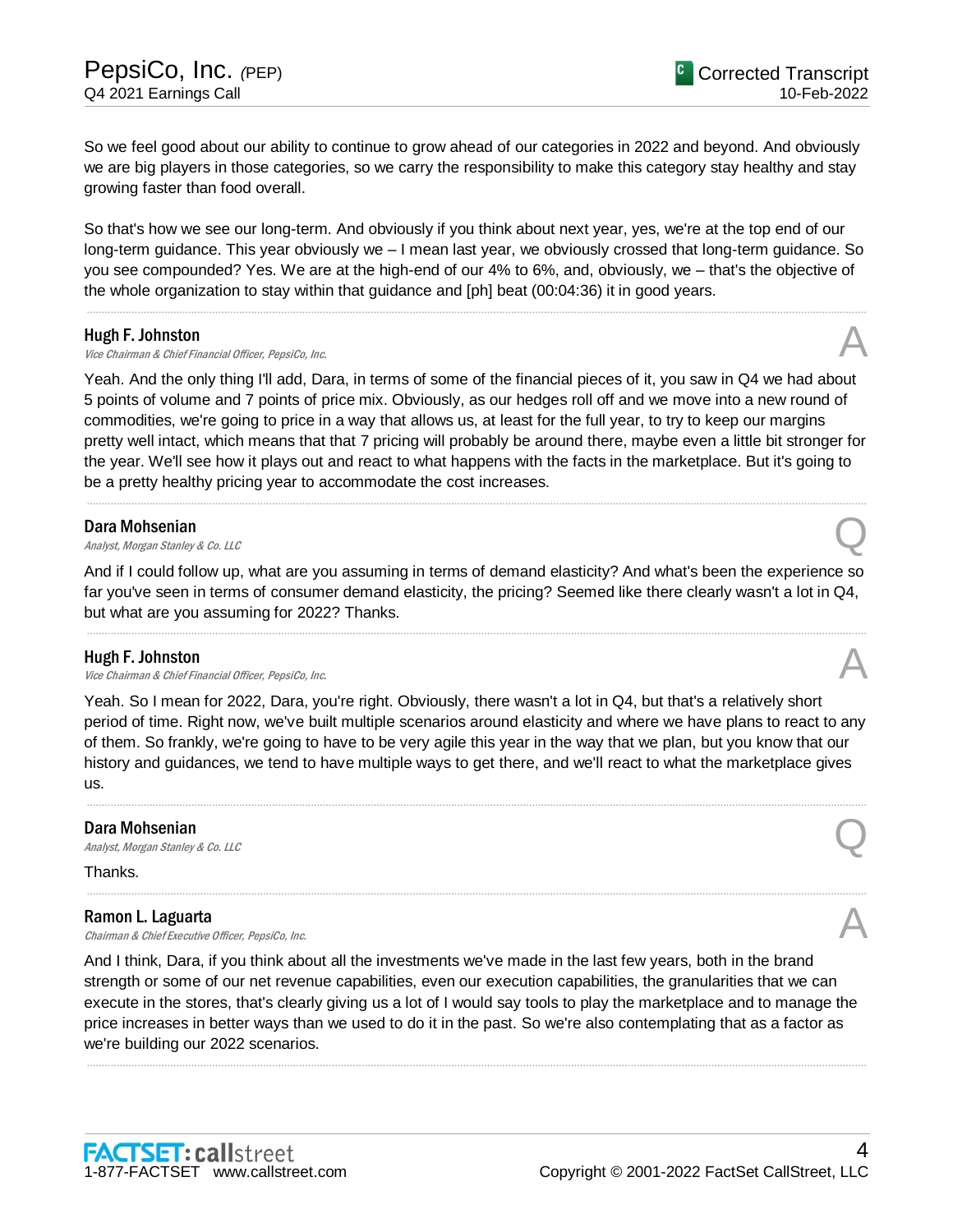So we feel good about our ability to continue to grow ahead of our categories in 2022 and beyond. And obviously we are big players in those categories, so we carry the responsibility to make this category stay healthy and stay growing faster than food overall.

So that's how we see our long-term. And obviously if you think about next year, yes, we're at the top end of our long-term guidance. This year obviously we – I mean last year, we obviously crossed that long-term guidance. So you see compounded? Yes. We are at the high-end of our 4% to 6%, and, obviously, we – that's the objective of the whole organization to stay within that guidance and [ph] beat (00:04:36) it in good years.

.....................................................................................................................................................................................................................................................................

#### Hugh F. Johnston

**Hugh F. Johnston**<br>Vice Chairman & Chief Financial Officer, PepsiCo, Inc.  $\mathcal{A}$ 

Yeah. And the only thing I'll add, Dara, in terms of some of the financial pieces of it, you saw in Q4 we had about 5 points of volume and 7 points of price mix. Obviously, as our hedges roll off and we move into a new round of commodities, we're going to price in a way that allows us, at least for the full year, to try to keep our margins pretty well intact, which means that that 7 pricing will probably be around there, maybe even a little bit stronger for the year. We'll see how it plays out and react to what happens with the facts in the marketplace. But it's going to be a pretty healthy pricing year to accommodate the cost increases.

.....................................................................................................................................................................................................................................................................

#### Dara Mohsenian

**Dara Mohsenian**<br>Analyst, Morgan Stanley & Co. LLC Quarter of Analyst, Morgan Stanley & Co. LLC

And if I could follow up, what are you assuming in terms of demand elasticity? And what's been the experience so far you've seen in terms of consumer demand elasticity, the pricing? Seemed like there clearly wasn't a lot in Q4, but what are you assuming for 2022? Thanks.

.....................................................................................................................................................................................................................................................................

#### Hugh F. Johnston

**Hugh F. Johnston**<br>Vice Chairman & Chief Financial Officer, PepsiCo, Inc.  $\mathcal{A}$ 

Yeah. So I mean for 2022, Dara, you're right. Obviously, there wasn't a lot in Q4, but that's a relatively short period of time. Right now, we've built multiple scenarios around elasticity and where we have plans to react to any of them. So frankly, we're going to have to be very agile this year in the way that we plan, but you know that our history and guidances, we tend to have multiple ways to get there, and we'll react to what the marketplace gives us.

.....................................................................................................................................................................................................................................................................

.....................................................................................................................................................................................................................................................................

#### Dara Mohsenian

**Dara Mohsenian**<br>Analyst, Morgan Stanley & Co. LLC Quarter of Analyst, Morgan Stanley & Co. LLC

Thanks.

#### Ramon L. Laguarta

**Ramon L. Laguarta**<br>Chairman & Chief Executive Officer, PepsiCo, Inc.  $\mathcal{A}$ 

And I think, Dara, if you think about all the investments we've made in the last few years, both in the brand strength or some of our net revenue capabilities, even our execution capabilities, the granularities that we can execute in the stores, that's clearly giving us a lot of I would say tools to play the marketplace and to manage the price increases in better ways than we used to do it in the past. So we're also contemplating that as a factor as we're building our 2022 scenarios.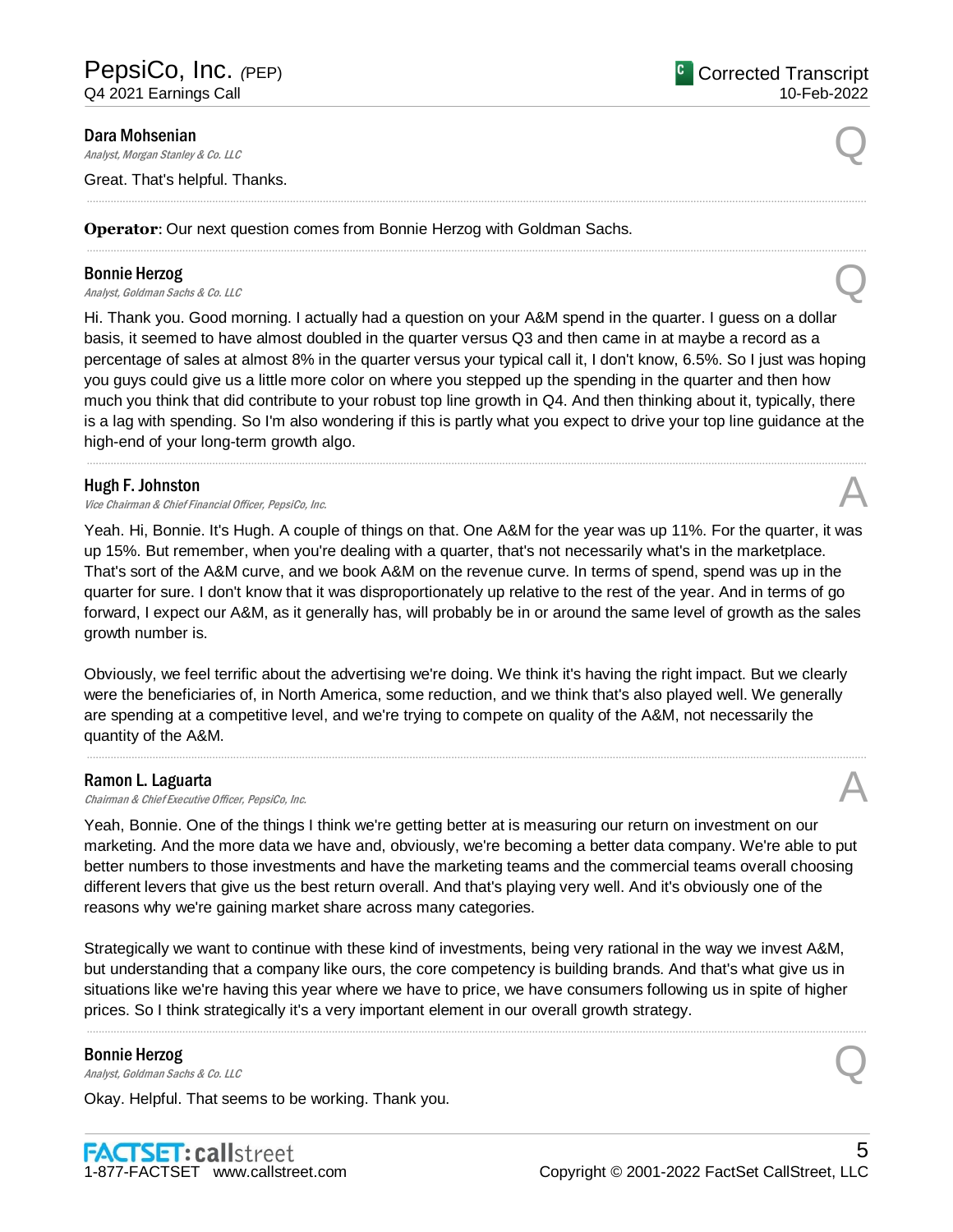#### Dara Mohsenian

**Dara Mohsenian**<br>Analyst, Morgan Stanley & Co. LLC Quarter of Analyst, Morgan Stanley & Co. LLC

Great. That's helpful. Thanks.

**Operator**: Our next question comes from Bonnie Herzog with Goldman Sachs.

#### Bonnie Herzog

**Bonnie Herzog**<br>Analyst, Goldman Sachs & Co. LLC  $\mathcal{Q}$ 

Hi. Thank you. Good morning. I actually had a question on your A&M spend in the quarter. I guess on a dollar basis, it seemed to have almost doubled in the quarter versus Q3 and then came in at maybe a record as a percentage of sales at almost 8% in the quarter versus your typical call it, I don't know, 6.5%. So I just was hoping you guys could give us a little more color on where you stepped up the spending in the quarter and then how much you think that did contribute to your robust top line growth in Q4. And then thinking about it, typically, there is a lag with spending. So I'm also wondering if this is partly what you expect to drive your top line guidance at the high-end of your long-term growth algo.

.....................................................................................................................................................................................................................................................................

.....................................................................................................................................................................................................................................................................

.....................................................................................................................................................................................................................................................................

#### Hugh F. Johnston

**Hugh F. Johnston**<br>Vice Chairman & Chief Financial Officer, PepsiCo, Inc.  $\mathcal{A}$ 

Yeah. Hi, Bonnie. It's Hugh. A couple of things on that. One A&M for the year was up 11%. For the quarter, it was up 15%. But remember, when you're dealing with a quarter, that's not necessarily what's in the marketplace. That's sort of the A&M curve, and we book A&M on the revenue curve. In terms of spend, spend was up in the quarter for sure. I don't know that it was disproportionately up relative to the rest of the year. And in terms of go forward, I expect our A&M, as it generally has, will probably be in or around the same level of growth as the sales growth number is.

Obviously, we feel terrific about the advertising we're doing. We think it's having the right impact. But we clearly were the beneficiaries of, in North America, some reduction, and we think that's also played well. We generally are spending at a competitive level, and we're trying to compete on quality of the A&M, not necessarily the quantity of the A&M.

.....................................................................................................................................................................................................................................................................

#### Ramon L. Laguarta

**Ramon L. Laguarta**<br>Chairman & Chief Executive Officer, PepsiCo, Inc.  $\mathcal{A}$ 

Yeah, Bonnie. One of the things I think we're getting better at is measuring our return on investment on our marketing. And the more data we have and, obviously, we're becoming a better data company. We're able to put better numbers to those investments and have the marketing teams and the commercial teams overall choosing different levers that give us the best return overall. And that's playing very well. And it's obviously one of the reasons why we're gaining market share across many categories.

Strategically we want to continue with these kind of investments, being very rational in the way we invest A&M, but understanding that a company like ours, the core competency is building brands. And that's what give us in situations like we're having this year where we have to price, we have consumers following us in spite of higher prices. So I think strategically it's a very important element in our overall growth strategy.

.....................................................................................................................................................................................................................................................................

#### Bonnie Herzog

**Bonnie Herzog**<br>Analyst, Goldman Sachs & Co. LLC  $\mathcal{Q}$ 

Okay. Helpful. That seems to be working. Thank you.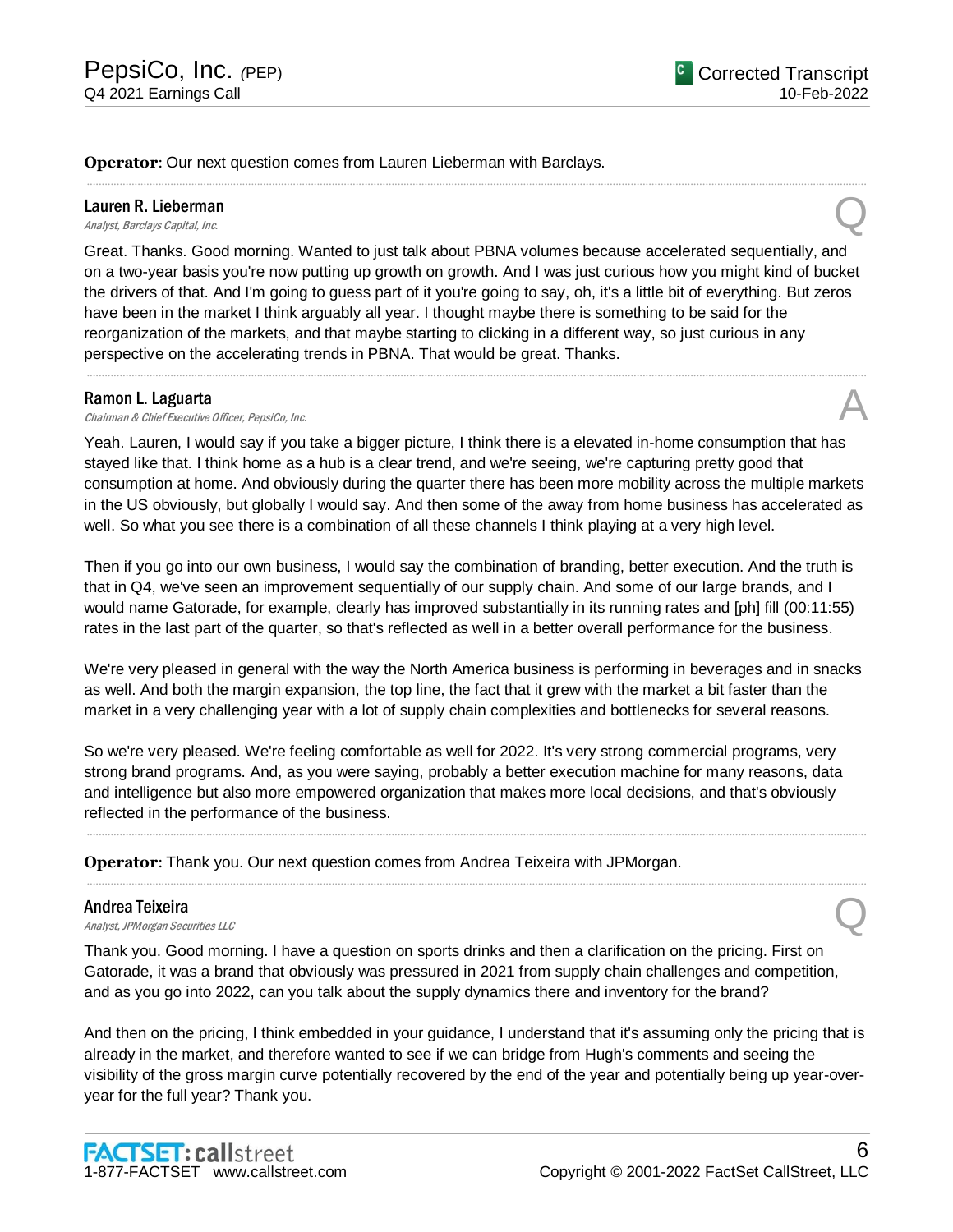**Operator**: Our next question comes from Lauren Lieberman with Barclays.

### Lauren R. Lieberman **Lauren R. Lieberman**<br>
Analyst, Barclays Capital, Inc. Quarter and Containing the Second Contains a set of Containing the Second Conta

Great. Thanks. Good morning. Wanted to just talk about PBNA volumes because accelerated sequentially, and on a two-year basis you're now putting up growth on growth. And I was just curious how you might kind of bucket the drivers of that. And I'm going to guess part of it you're going to say, oh, it's a little bit of everything. But zeros have been in the market I think arguably all year. I thought maybe there is something to be said for the reorganization of the markets, and that maybe starting to clicking in a different way, so just curious in any perspective on the accelerating trends in PBNA. That would be great. Thanks.

.....................................................................................................................................................................................................................................................................

.....................................................................................................................................................................................................................................................................

#### Ramon L. Laguarta

**Ramon L. Laguarta**<br>Chairman & Chief Executive Officer, PepsiCo, Inc.  $\mathcal{A}$ 

Yeah. Lauren, I would say if you take a bigger picture, I think there is a elevated in-home consumption that has stayed like that. I think home as a hub is a clear trend, and we're seeing, we're capturing pretty good that consumption at home. And obviously during the quarter there has been more mobility across the multiple markets in the US obviously, but globally I would say. And then some of the away from home business has accelerated as well. So what you see there is a combination of all these channels I think playing at a very high level.

Then if you go into our own business, I would say the combination of branding, better execution. And the truth is that in Q4, we've seen an improvement sequentially of our supply chain. And some of our large brands, and I would name Gatorade, for example, clearly has improved substantially in its running rates and [ph] fill (00:11:55) rates in the last part of the quarter, so that's reflected as well in a better overall performance for the business.

We're very pleased in general with the way the North America business is performing in beverages and in snacks as well. And both the margin expansion, the top line, the fact that it grew with the market a bit faster than the market in a very challenging year with a lot of supply chain complexities and bottlenecks for several reasons.

So we're very pleased. We're feeling comfortable as well for 2022. It's very strong commercial programs, very strong brand programs. And, as you were saying, probably a better execution machine for many reasons, data and intelligence but also more empowered organization that makes more local decisions, and that's obviously reflected in the performance of the business.

.....................................................................................................................................................................................................................................................................

.....................................................................................................................................................................................................................................................................

**Operator**: Thank you. Our next question comes from Andrea Teixeira with JPMorgan.

#### Andrea Teixeira

**Andrea Teixeira**<br>Analyst, JPMorgan Securities LLC

Thank you. Good morning. I have a question on sports drinks and then a clarification on the pricing. First on Gatorade, it was a brand that obviously was pressured in 2021 from supply chain challenges and competition, and as you go into 2022, can you talk about the supply dynamics there and inventory for the brand?

And then on the pricing, I think embedded in your guidance, I understand that it's assuming only the pricing that is already in the market, and therefore wanted to see if we can bridge from Hugh's comments and seeing the visibility of the gross margin curve potentially recovered by the end of the year and potentially being up year-overyear for the full year? Thank you.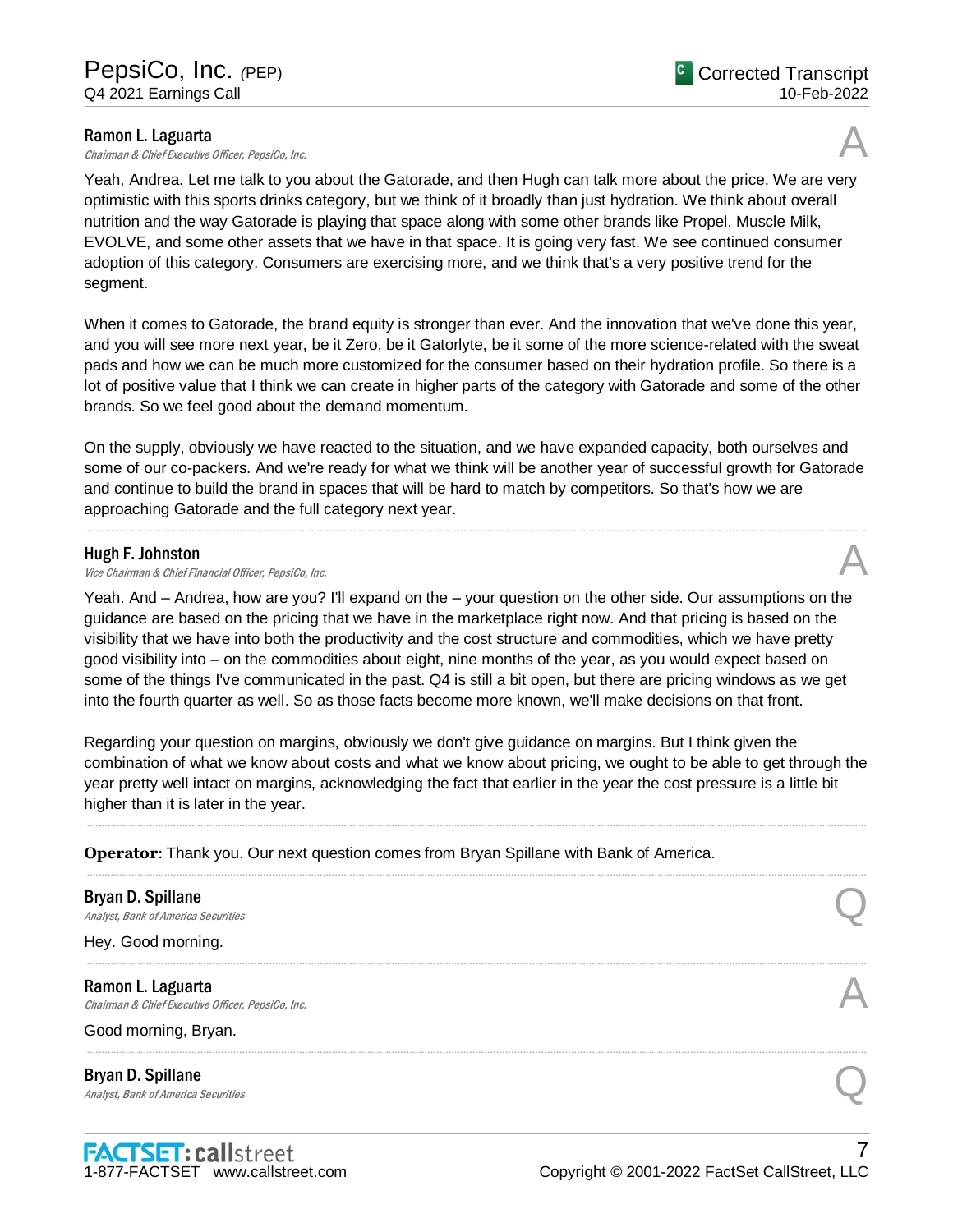**Ramon L. Laguarta**<br>Chairman & Chief Executive Officer, PepsiCo, Inc.  $\mathcal{A}$ 

Yeah, Andrea. Let me talk to you about the Gatorade, and then Hugh can talk more about the price. We are very optimistic with this sports drinks category, but we think of it broadly than just hydration. We think about overall nutrition and the way Gatorade is playing that space along with some other brands like Propel, Muscle Milk, EVOLVE, and some other assets that we have in that space. It is going very fast. We see continued consumer adoption of this category. Consumers are exercising more, and we think that's a very positive trend for the segment.

When it comes to Gatorade, the brand equity is stronger than ever. And the innovation that we've done this year, and you will see more next year, be it Zero, be it Gatorlyte, be it some of the more science-related with the sweat pads and how we can be much more customized for the consumer based on their hydration profile. So there is a lot of positive value that I think we can create in higher parts of the category with Gatorade and some of the other brands. So we feel good about the demand momentum.

On the supply, obviously we have reacted to the situation, and we have expanded capacity, both ourselves and some of our co-packers. And we're ready for what we think will be another year of successful growth for Gatorade and continue to build the brand in spaces that will be hard to match by competitors. So that's how we are approaching Gatorade and the full category next year.

.....................................................................................................................................................................................................................................................................

#### Hugh F. Johnston

**Hugh F. Johnston**<br>Vice Chairman & Chief Financial Officer, PepsiCo, Inc.  $\mathcal{A}$ 

1-877-FACTSET www.callstreet.com

Yeah. And – Andrea, how are you? I'll expand on the – your question on the other side. Our assumptions on the guidance are based on the pricing that we have in the marketplace right now. And that pricing is based on the visibility that we have into both the productivity and the cost structure and commodities, which we have pretty good visibility into – on the commodities about eight, nine months of the year, as you would expect based on some of the things I've communicated in the past. Q4 is still a bit open, but there are pricing windows as we get into the fourth quarter as well. So as those facts become more known, we'll make decisions on that front.

Regarding your question on margins, obviously we don't give guidance on margins. But I think given the combination of what we know about costs and what we know about pricing, we ought to be able to get through the year pretty well intact on margins, acknowledging the fact that earlier in the year the cost pressure is a little bit higher than it is later in the year.

.....................................................................................................................................................................................................................................................................

.....................................................................................................................................................................................................................................................................

**Operator**: Thank you. Our next question comes from Bryan Spillane with Bank of America.

| <b>Bryan D. Spillane</b><br>Analyst, Bank of America Securities        |  |
|------------------------------------------------------------------------|--|
| Hey. Good morning.                                                     |  |
| Ramon L. Laguarta<br>Chairman & Chief Executive Officer, PepsiCo, Inc. |  |
| Good morning, Bryan.                                                   |  |
| <b>Bryan D. Spillane</b><br>Analyst, Bank of America Securities        |  |
| <b>FACTSET: callstreet</b>                                             |  |

Copyright © 2001-2022 FactSet CallStreet, LLC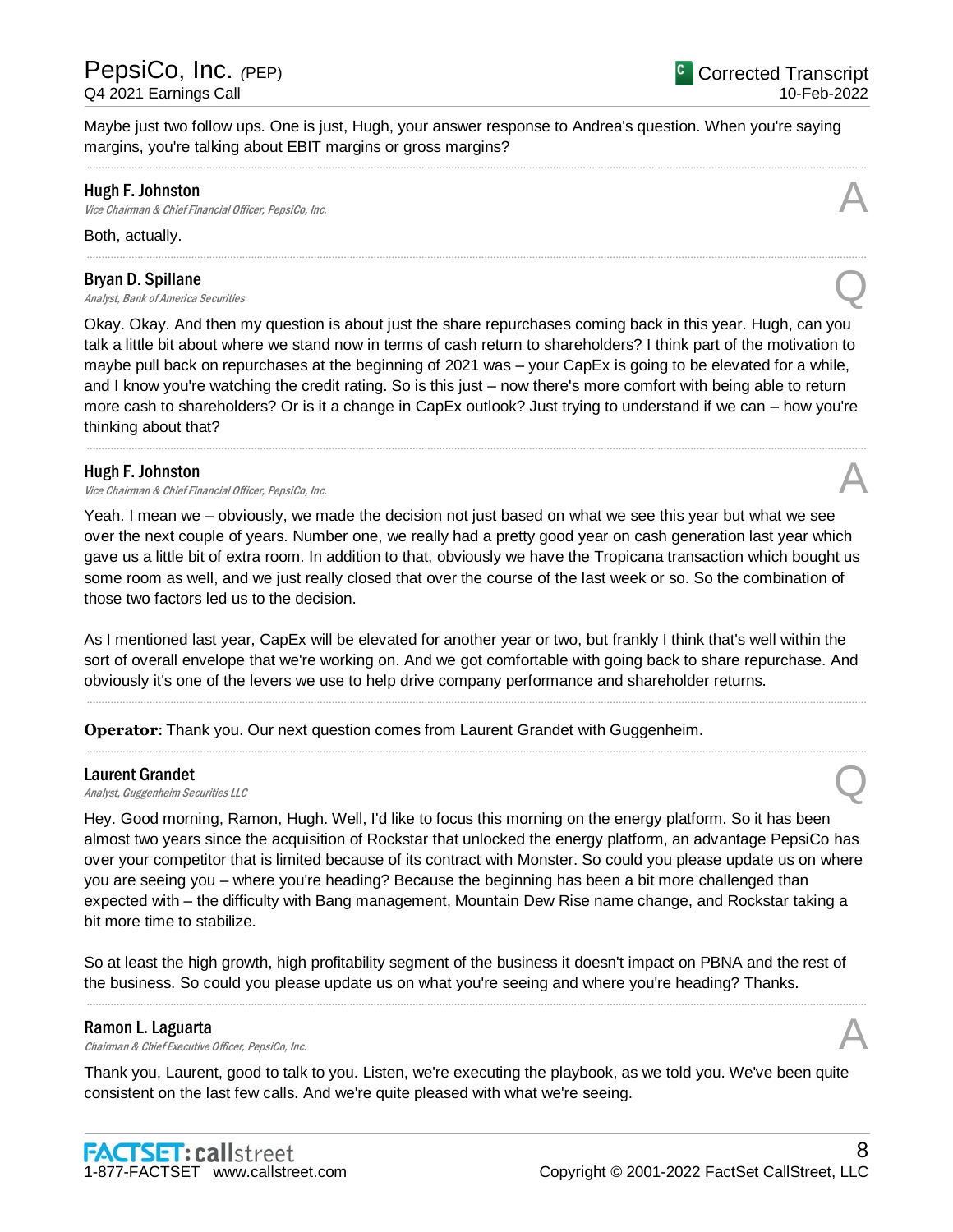Copyright © 2001-2022 FactSet CallStreet, LLC

8

#### Maybe just two follow ups. One is just, Hugh, your answer response to Andrea's question. When you're saying margins, you're talking about EBIT margins or gross margins?

.....................................................................................................................................................................................................................................................................

.....................................................................................................................................................................................................................................................................

#### Hugh F. Johnston

**Hugh F. Johnston**<br>Vice Chairman & Chief Financial Officer, PepsiCo, Inc.  $\mathcal{A}$ 

Both, actually.

#### Bryan D. Spillane

**Bryan D. Spillane**<br>Analyst, Bank of America Securities **Q** 

Okay. Okay. And then my question is about just the share repurchases coming back in this year. Hugh, can you talk a little bit about where we stand now in terms of cash return to shareholders? I think part of the motivation to maybe pull back on repurchases at the beginning of 2021 was – your CapEx is going to be elevated for a while, and I know you're watching the credit rating. So is this just – now there's more comfort with being able to return more cash to shareholders? Or is it a change in CapEx outlook? Just trying to understand if we can – how you're thinking about that?

.....................................................................................................................................................................................................................................................................

#### Hugh F. Johnston

**Hugh F. Johnston**<br>Vice Chairman & Chief Financial Officer, PepsiCo, Inc.  $\mathcal{A}$ 

Yeah. I mean we – obviously, we made the decision not just based on what we see this year but what we see over the next couple of years. Number one, we really had a pretty good year on cash generation last year which gave us a little bit of extra room. In addition to that, obviously we have the Tropicana transaction which bought us some room as well, and we just really closed that over the course of the last week or so. So the combination of those two factors led us to the decision.

As I mentioned last year, CapEx will be elevated for another year or two, but frankly I think that's well within the sort of overall envelope that we're working on. And we got comfortable with going back to share repurchase. And obviously it's one of the levers we use to help drive company performance and shareholder returns.

.....................................................................................................................................................................................................................................................................

.....................................................................................................................................................................................................................................................................

**Operator**: Thank you. Our next question comes from Laurent Grandet with Guggenheim.

#### Laurent Grandet

**Laurent Grandet**<br>Analyst, Guggenheim Securities LLC

Hey. Good morning, Ramon, Hugh. Well, I'd like to focus this morning on the energy platform. So it has been almost two years since the acquisition of Rockstar that unlocked the energy platform, an advantage PepsiCo has over your competitor that is limited because of its contract with Monster. So could you please update us on where you are seeing you – where you're heading? Because the beginning has been a bit more challenged than expected with – the difficulty with Bang management, Mountain Dew Rise name change, and Rockstar taking a bit more time to stabilize.

So at least the high growth, high profitability segment of the business it doesn't impact on PBNA and the rest of the business. So could you please update us on what you're seeing and where you're heading? Thanks.

.....................................................................................................................................................................................................................................................................

#### Ramon L. Laguarta

**Ramon L. Laguarta**<br>Chairman & Chief Executive Officer, PepsiCo, Inc.  $\mathcal{A}$ 

Thank you, Laurent, good to talk to you. Listen, we're executing the playbook, as we told you. We've been quite consistent on the last few calls. And we're quite pleased with what we're seeing.

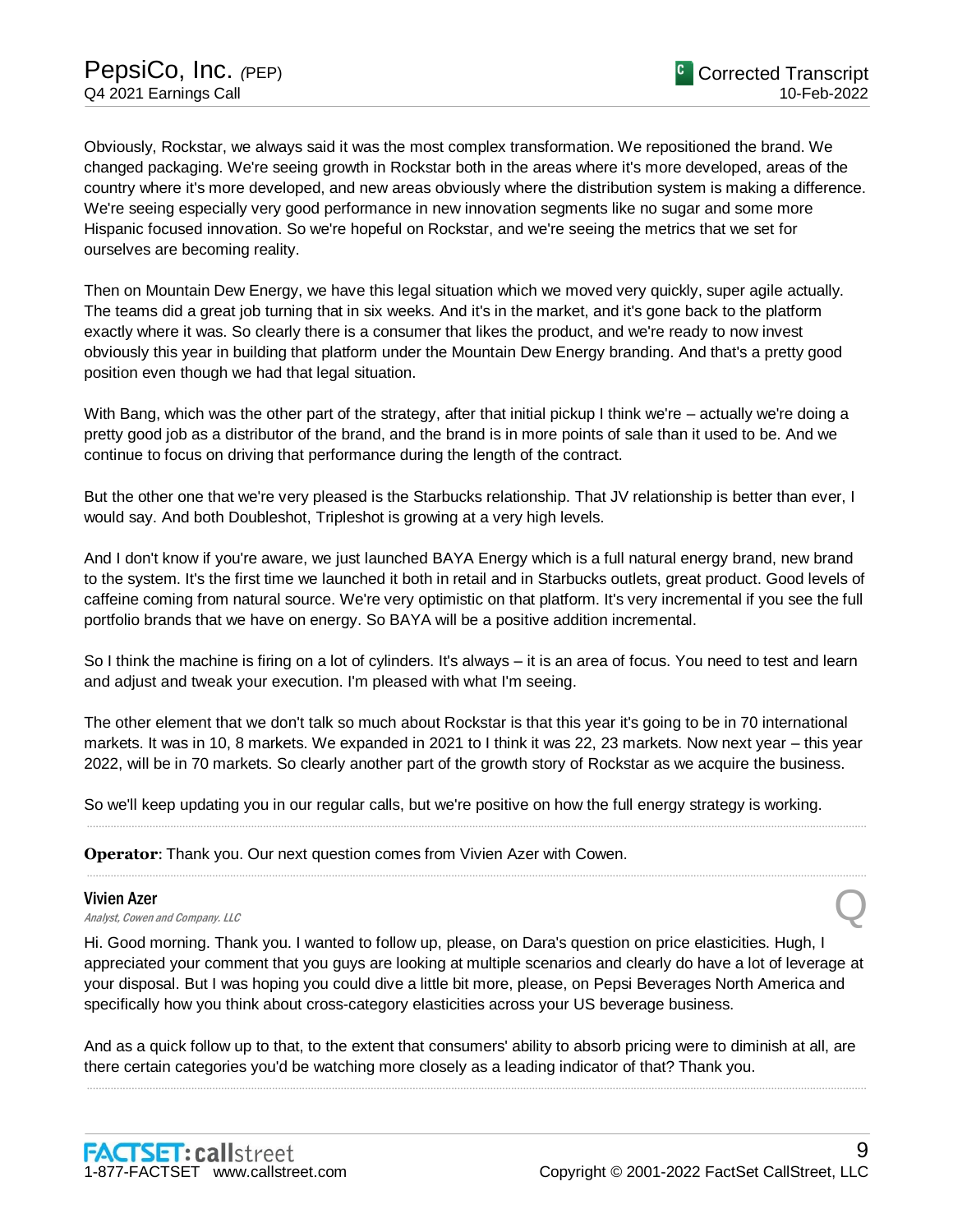Obviously, Rockstar, we always said it was the most complex transformation. We repositioned the brand. We changed packaging. We're seeing growth in Rockstar both in the areas where it's more developed, areas of the country where it's more developed, and new areas obviously where the distribution system is making a difference. We're seeing especially very good performance in new innovation segments like no sugar and some more Hispanic focused innovation. So we're hopeful on Rockstar, and we're seeing the metrics that we set for ourselves are becoming reality.

Then on Mountain Dew Energy, we have this legal situation which we moved very quickly, super agile actually. The teams did a great job turning that in six weeks. And it's in the market, and it's gone back to the platform exactly where it was. So clearly there is a consumer that likes the product, and we're ready to now invest obviously this year in building that platform under the Mountain Dew Energy branding. And that's a pretty good position even though we had that legal situation.

With Bang, which was the other part of the strategy, after that initial pickup I think we're – actually we're doing a pretty good job as a distributor of the brand, and the brand is in more points of sale than it used to be. And we continue to focus on driving that performance during the length of the contract.

But the other one that we're very pleased is the Starbucks relationship. That JV relationship is better than ever, I would say. And both Doubleshot, Tripleshot is growing at a very high levels.

And I don't know if you're aware, we just launched BAYA Energy which is a full natural energy brand, new brand to the system. It's the first time we launched it both in retail and in Starbucks outlets, great product. Good levels of caffeine coming from natural source. We're very optimistic on that platform. It's very incremental if you see the full portfolio brands that we have on energy. So BAYA will be a positive addition incremental.

So I think the machine is firing on a lot of cylinders. It's always – it is an area of focus. You need to test and learn and adjust and tweak your execution. I'm pleased with what I'm seeing.

The other element that we don't talk so much about Rockstar is that this year it's going to be in 70 international markets. It was in 10, 8 markets. We expanded in 2021 to I think it was 22, 23 markets. Now next year – this year 2022, will be in 70 markets. So clearly another part of the growth story of Rockstar as we acquire the business.

.....................................................................................................................................................................................................................................................................

.....................................................................................................................................................................................................................................................................

So we'll keep updating you in our regular calls, but we're positive on how the full energy strategy is working.

**Operator**: Thank you. Our next question comes from Vivien Azer with Cowen.

#### Vivien Azer

**Vivien Azer**<br>Analyst, Cowen and Company. LLC

Hi. Good morning. Thank you. I wanted to follow up, please, on Dara's question on price elasticities. Hugh, I appreciated your comment that you guys are looking at multiple scenarios and clearly do have a lot of leverage at your disposal. But I was hoping you could dive a little bit more, please, on Pepsi Beverages North America and specifically how you think about cross-category elasticities across your US beverage business.

And as a quick follow up to that, to the extent that consumers' ability to absorb pricing were to diminish at all, are there certain categories you'd be watching more closely as a leading indicator of that? Thank you.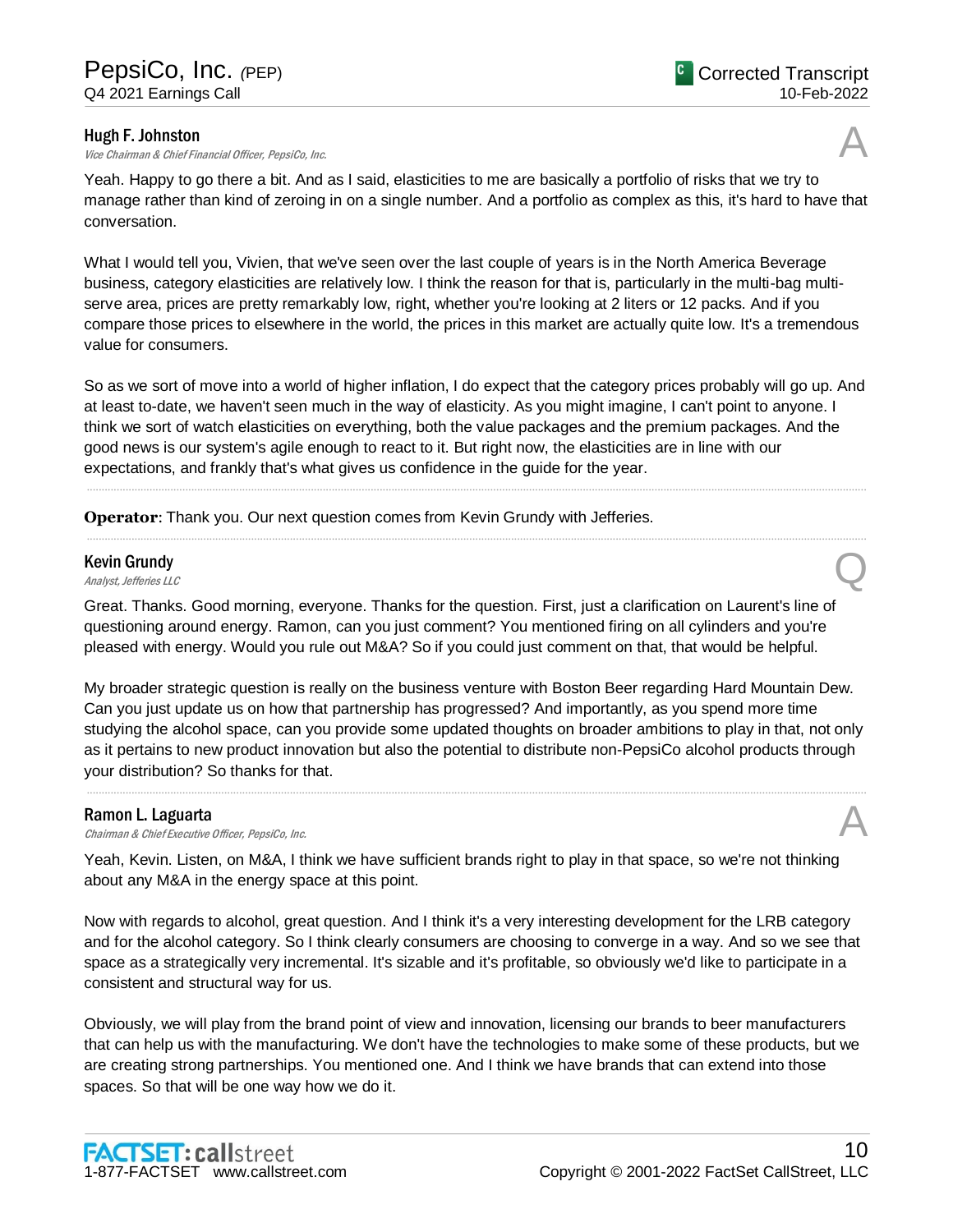#### Hugh F. Johnston

Vice Chairman & Chief Financial Officer, PepsiCo, Inc.

Yeah. Happy to go there a bit. And as I said, elasticities to me are basically a portfolio of risks that we try to manage rather than kind of zeroing in on a single number. And a portfolio as complex as this, it's hard to have that conversation.

What I would tell you, Vivien, that we've seen over the last couple of years is in the North America Beverage business, category elasticities are relatively low. I think the reason for that is, particularly in the multi-bag multiserve area, prices are pretty remarkably low, right, whether you're looking at 2 liters or 12 packs. And if you compare those prices to elsewhere in the world, the prices in this market are actually quite low. It's a tremendous value for consumers.

So as we sort of move into a world of higher inflation, I do expect that the category prices probably will go up. And at least to-date, we haven't seen much in the way of elasticity. As you might imagine, I can't point to anyone. I think we sort of watch elasticities on everything, both the value packages and the premium packages. And the good news is our system's agile enough to react to it. But right now, the elasticities are in line with our expectations, and frankly that's what gives us confidence in the guide for the year.

.....................................................................................................................................................................................................................................................................

.....................................................................................................................................................................................................................................................................

**Operator**: Thank you. Our next question comes from Kevin Grundy with Jefferies.

### Kevin Grundy **Kevin Grundy**<br>Analyst, Jefferies LLC

Great. Thanks. Good morning, everyone. Thanks for the question. First, just a clarification on Laurent's line of questioning around energy. Ramon, can you just comment? You mentioned firing on all cylinders and you're pleased with energy. Would you rule out M&A? So if you could just comment on that, that would be helpful.

My broader strategic question is really on the business venture with Boston Beer regarding Hard Mountain Dew. Can you just update us on how that partnership has progressed? And importantly, as you spend more time studying the alcohol space, can you provide some updated thoughts on broader ambitions to play in that, not only as it pertains to new product innovation but also the potential to distribute non-PepsiCo alcohol products through your distribution? So thanks for that.

.....................................................................................................................................................................................................................................................................

#### Ramon L. Laguarta

**Ramon L. Laguarta**<br>Chairman & Chief Executive Officer, PepsiCo, Inc.  $\mathcal{A}$ 

Yeah, Kevin. Listen, on M&A, I think we have sufficient brands right to play in that space, so we're not thinking about any M&A in the energy space at this point.

Now with regards to alcohol, great question. And I think it's a very interesting development for the LRB category and for the alcohol category. So I think clearly consumers are choosing to converge in a way. And so we see that space as a strategically very incremental. It's sizable and it's profitable, so obviously we'd like to participate in a consistent and structural way for us.

Obviously, we will play from the brand point of view and innovation, licensing our brands to beer manufacturers that can help us with the manufacturing. We don't have the technologies to make some of these products, but we are creating strong partnerships. You mentioned one. And I think we have brands that can extend into those spaces. So that will be one way how we do it.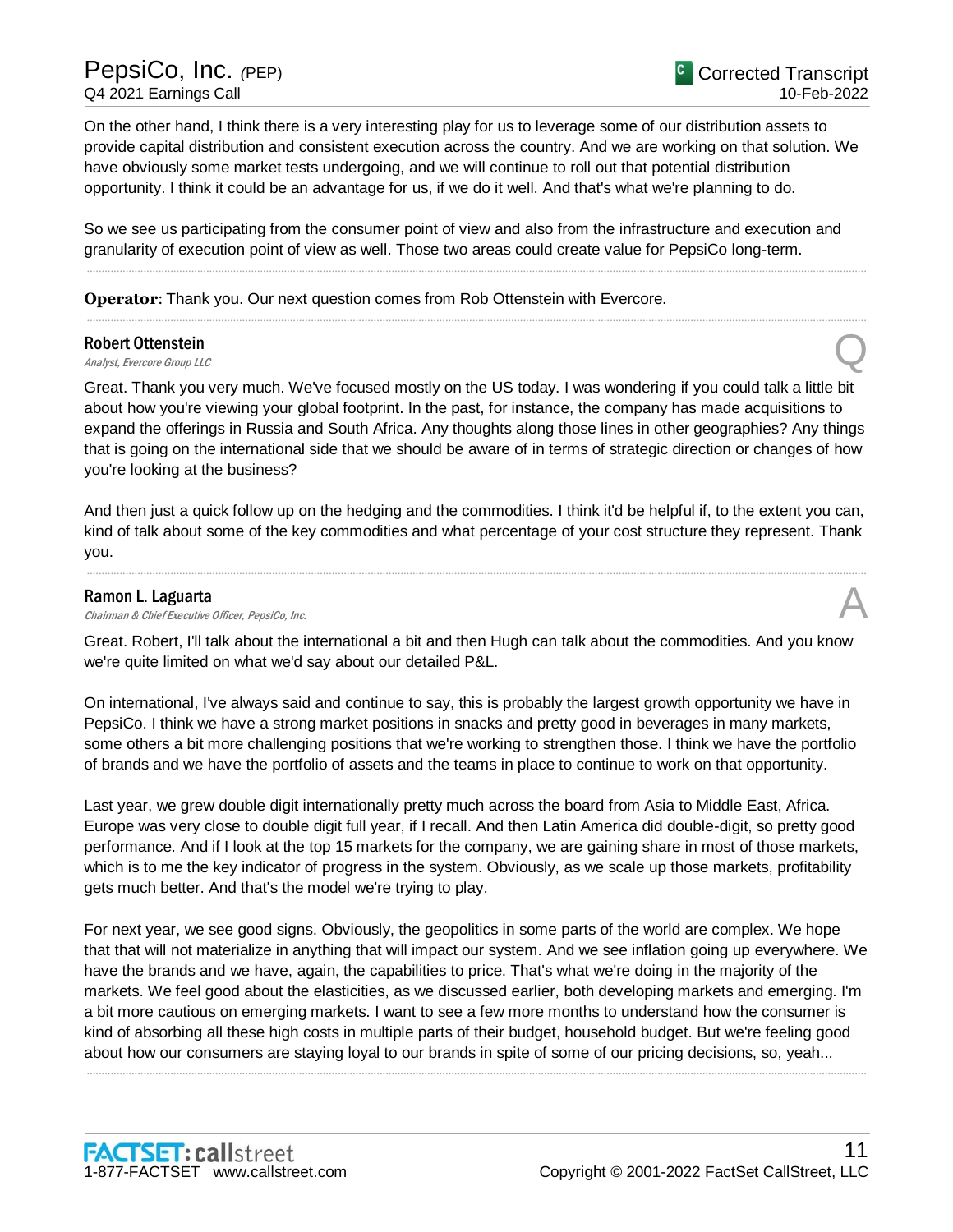PepsiCo, Inc. *(*PEP) Q4 2021 Earnings Call

On the other hand, I think there is a very interesting play for us to leverage some of our distribution assets to provide capital distribution and consistent execution across the country. And we are working on that solution. We have obviously some market tests undergoing, and we will continue to roll out that potential distribution opportunity. I think it could be an advantage for us, if we do it well. And that's what we're planning to do.

So we see us participating from the consumer point of view and also from the infrastructure and execution and granularity of execution point of view as well. Those two areas could create value for PepsiCo long-term.

.....................................................................................................................................................................................................................................................................

.....................................................................................................................................................................................................................................................................

**Operator**: Thank you. Our next question comes from Rob Ottenstein with Evercore.

### Robert Ottenstein **Robert Ottenstein**<br>Analyst, Evercore Group LLC

Great. Thank you very much. We've focused mostly on the US today. I was wondering if you could talk a little bit about how you're viewing your global footprint. In the past, for instance, the company has made acquisitions to expand the offerings in Russia and South Africa. Any thoughts along those lines in other geographies? Any things that is going on the international side that we should be aware of in terms of strategic direction or changes of how you're looking at the business?

And then just a quick follow up on the hedging and the commodities. I think it'd be helpful if, to the extent you can, kind of talk about some of the key commodities and what percentage of your cost structure they represent. Thank you.

.....................................................................................................................................................................................................................................................................

#### Ramon L. Laguarta

**Ramon L. Laguarta**<br>Chairman & Chief Executive Officer, PepsiCo, Inc.  $\mathcal{A}$ 

Great. Robert, I'll talk about the international a bit and then Hugh can talk about the commodities. And you know we're quite limited on what we'd say about our detailed P&L.

On international, I've always said and continue to say, this is probably the largest growth opportunity we have in PepsiCo. I think we have a strong market positions in snacks and pretty good in beverages in many markets, some others a bit more challenging positions that we're working to strengthen those. I think we have the portfolio of brands and we have the portfolio of assets and the teams in place to continue to work on that opportunity.

Last year, we grew double digit internationally pretty much across the board from Asia to Middle East, Africa. Europe was very close to double digit full year, if I recall. And then Latin America did double-digit, so pretty good performance. And if I look at the top 15 markets for the company, we are gaining share in most of those markets, which is to me the key indicator of progress in the system. Obviously, as we scale up those markets, profitability gets much better. And that's the model we're trying to play.

For next year, we see good signs. Obviously, the geopolitics in some parts of the world are complex. We hope that that will not materialize in anything that will impact our system. And we see inflation going up everywhere. We have the brands and we have, again, the capabilities to price. That's what we're doing in the majority of the markets. We feel good about the elasticities, as we discussed earlier, both developing markets and emerging. I'm a bit more cautious on emerging markets. I want to see a few more months to understand how the consumer is kind of absorbing all these high costs in multiple parts of their budget, household budget. But we're feeling good about how our consumers are staying loyal to our brands in spite of some of our pricing decisions, so, yeah...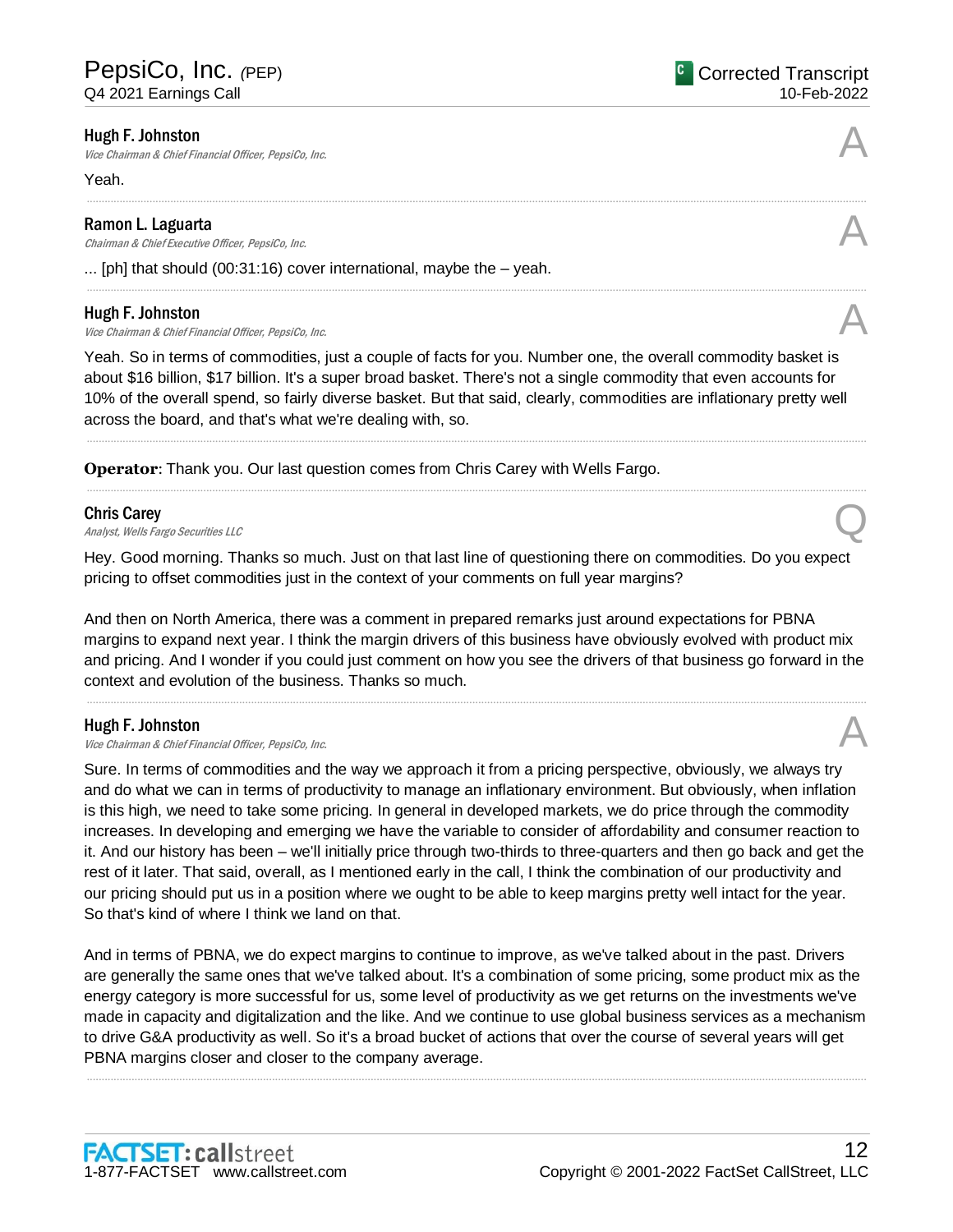**Hugh F. Johnston**<br>Vice Chairman & Chief Financial Officer, PepsiCo, Inc.  $\mathcal{A}$ 

Yeah.

#### Ramon L. Laguarta

**Ramon L. Laguarta**<br>Chairman & Chief Executive Officer, PepsiCo, Inc.  $\mathcal{A}$ 

... [ph] that should (00:31:16) cover international, maybe the – yeah.

#### Hugh F. Johnston

**Hugh F. Johnston**<br>Vice Chairman & Chief Financial Officer, PepsiCo, Inc.  $\mathcal{A}$ 

Yeah. So in terms of commodities, just a couple of facts for you. Number one, the overall commodity basket is about \$16 billion, \$17 billion. It's a super broad basket. There's not a single commodity that even accounts for 10% of the overall spend, so fairly diverse basket. But that said, clearly, commodities are inflationary pretty well across the board, and that's what we're dealing with, so.

.....................................................................................................................................................................................................................................................................

.....................................................................................................................................................................................................................................................................

**Operator**: Thank you. Our last question comes from Chris Carey with Wells Fargo.

#### Chris Carey

**Chris Carey**<br>Analyst, Wells Fargo Securities LLC

Hey. Good morning. Thanks so much. Just on that last line of questioning there on commodities. Do you expect pricing to offset commodities just in the context of your comments on full year margins?

And then on North America, there was a comment in prepared remarks just around expectations for PBNA margins to expand next year. I think the margin drivers of this business have obviously evolved with product mix and pricing. And I wonder if you could just comment on how you see the drivers of that business go forward in the context and evolution of the business. Thanks so much.

.....................................................................................................................................................................................................................................................................

#### Hugh F. Johnston

**Hugh F. Johnston**<br>Vice Chairman & Chief Financial Officer, PepsiCo, Inc.  $\mathcal{A}$ 

Sure. In terms of commodities and the way we approach it from a pricing perspective, obviously, we always try and do what we can in terms of productivity to manage an inflationary environment. But obviously, when inflation is this high, we need to take some pricing. In general in developed markets, we do price through the commodity increases. In developing and emerging we have the variable to consider of affordability and consumer reaction to it. And our history has been – we'll initially price through two-thirds to three-quarters and then go back and get the rest of it later. That said, overall, as I mentioned early in the call, I think the combination of our productivity and our pricing should put us in a position where we ought to be able to keep margins pretty well intact for the year. So that's kind of where I think we land on that.

And in terms of PBNA, we do expect margins to continue to improve, as we've talked about in the past. Drivers are generally the same ones that we've talked about. It's a combination of some pricing, some product mix as the energy category is more successful for us, some level of productivity as we get returns on the investments we've made in capacity and digitalization and the like. And we continue to use global business services as a mechanism to drive G&A productivity as well. So it's a broad bucket of actions that over the course of several years will get PBNA margins closer and closer to the company average.